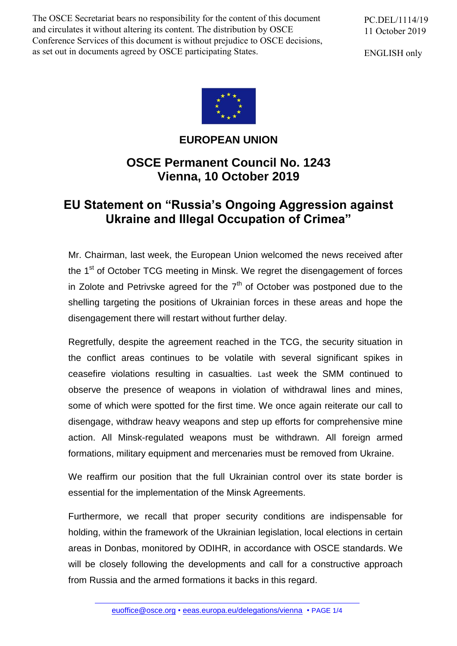The OSCE Secretariat bears no responsibility for the content of this document and circulates it without altering its content. The distribution by OSCE Conference Services of this document is without prejudice to OSCE decisions, as set out in documents agreed by OSCE participating States.

PC.DEL/1114/19 11 October 2019

ENGLISH only



## **EUROPEAN UNION**

## **OSCE Permanent Council No. 1243 Vienna, 10 October 2019**

## **EU Statement on "Russia's Ongoing Aggression against Ukraine and Illegal Occupation of Crimea"**

Mr. Chairman, last week, the European Union welcomed the news received after the 1<sup>st</sup> of October TCG meeting in Minsk. We regret the disengagement of forces in Zolote and Petrivske agreed for the  $7<sup>th</sup>$  of October was postponed due to the shelling targeting the positions of Ukrainian forces in these areas and hope the disengagement there will restart without further delay.

Regretfully, despite the agreement reached in the TCG, the security situation in the conflict areas continues to be volatile with several significant spikes in ceasefire violations resulting in casualties. Last week the SMM continued to observe the presence of weapons in violation of withdrawal lines and mines, some of which were spotted for the first time. We once again reiterate our call to disengage, withdraw heavy weapons and step up efforts for comprehensive mine action. All Minsk-regulated weapons must be withdrawn. All foreign armed formations, military equipment and mercenaries must be removed from Ukraine.

We reaffirm our position that the full Ukrainian control over its state border is essential for the implementation of the Minsk Agreements.

Furthermore, we recall that proper security conditions are indispensable for holding, within the framework of the Ukrainian legislation, local elections in certain areas in Donbas, monitored by ODIHR, in accordance with OSCE standards. We will be closely following the developments and call for a constructive approach from Russia and the armed formations it backs in this regard.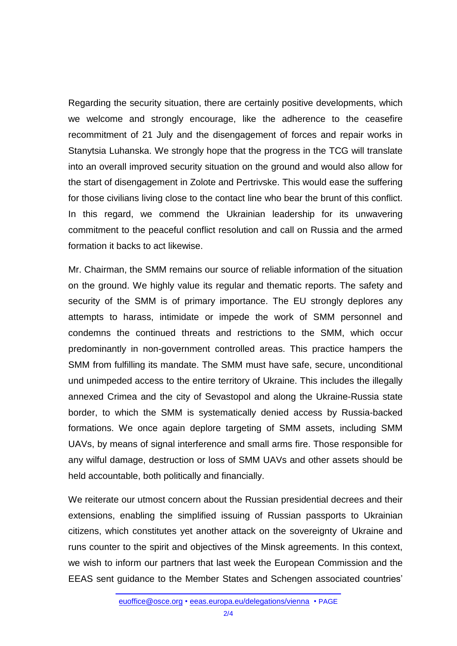Regarding the security situation, there are certainly positive developments, which we welcome and strongly encourage, like the adherence to the ceasefire recommitment of 21 July and the disengagement of forces and repair works in Stanytsia Luhanska. We strongly hope that the progress in the TCG will translate into an overall improved security situation on the ground and would also allow for the start of disengagement in Zolote and Pertrivske. This would ease the suffering for those civilians living close to the contact line who bear the brunt of this conflict. In this regard, we commend the Ukrainian leadership for its unwavering commitment to the peaceful conflict resolution and call on Russia and the armed formation it backs to act likewise.

Mr. Chairman, the SMM remains our source of reliable information of the situation on the ground. We highly value its regular and thematic reports. The safety and security of the SMM is of primary importance. The EU strongly deplores any attempts to harass, intimidate or impede the work of SMM personnel and condemns the continued threats and restrictions to the SMM, which occur predominantly in non-government controlled areas. This practice hampers the SMM from fulfilling its mandate. The SMM must have safe, secure, unconditional und unimpeded access to the entire territory of Ukraine. This includes the illegally annexed Crimea and the city of Sevastopol and along the Ukraine-Russia state border, to which the SMM is systematically denied access by Russia-backed formations. We once again deplore targeting of SMM assets, including SMM UAVs, by means of signal interference and small arms fire. Those responsible for any wilful damage, destruction or loss of SMM UAVs and other assets should be held accountable, both politically and financially.

We reiterate our utmost concern about the Russian presidential decrees and their extensions, enabling the simplified issuing of Russian passports to Ukrainian citizens, which constitutes yet another attack on the sovereignty of Ukraine and runs counter to the spirit and objectives of the Minsk agreements. In this context, we wish to inform our partners that last week the European Commission and the EEAS sent guidance to the Member States and Schengen associated countries'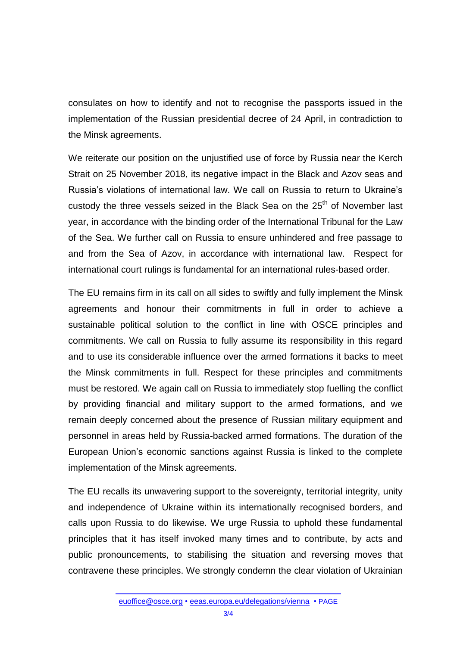consulates on how to identify and not to recognise the passports issued in the implementation of the Russian presidential decree of 24 April, in contradiction to the Minsk agreements.

We reiterate our position on the unjustified use of force by Russia near the Kerch Strait on 25 November 2018, its negative impact in the Black and Azov seas and Russia's violations of international law. We call on Russia to return to Ukraine's custody the three vessels seized in the Black Sea on the  $25<sup>th</sup>$  of November last year, in accordance with the binding order of the International Tribunal for the Law of the Sea. We further call on Russia to ensure unhindered and free passage to and from the Sea of Azov, in accordance with international law. Respect for international court rulings is fundamental for an international rules-based order.

The EU remains firm in its call on all sides to swiftly and fully implement the Minsk agreements and honour their commitments in full in order to achieve a sustainable political solution to the conflict in line with OSCE principles and commitments. We call on Russia to fully assume its responsibility in this regard and to use its considerable influence over the armed formations it backs to meet the Minsk commitments in full. Respect for these principles and commitments must be restored. We again call on Russia to immediately stop fuelling the conflict by providing financial and military support to the armed formations, and we remain deeply concerned about the presence of Russian military equipment and personnel in areas held by Russia-backed armed formations. The duration of the European Union's economic sanctions against Russia is linked to the complete implementation of the Minsk agreements.

The EU recalls its unwavering support to the sovereignty, territorial integrity, unity and independence of Ukraine within its internationally recognised borders, and calls upon Russia to do likewise. We urge Russia to uphold these fundamental principles that it has itself invoked many times and to contribute, by acts and public pronouncements, to stabilising the situation and reversing moves that contravene these principles. We strongly condemn the clear violation of Ukrainian